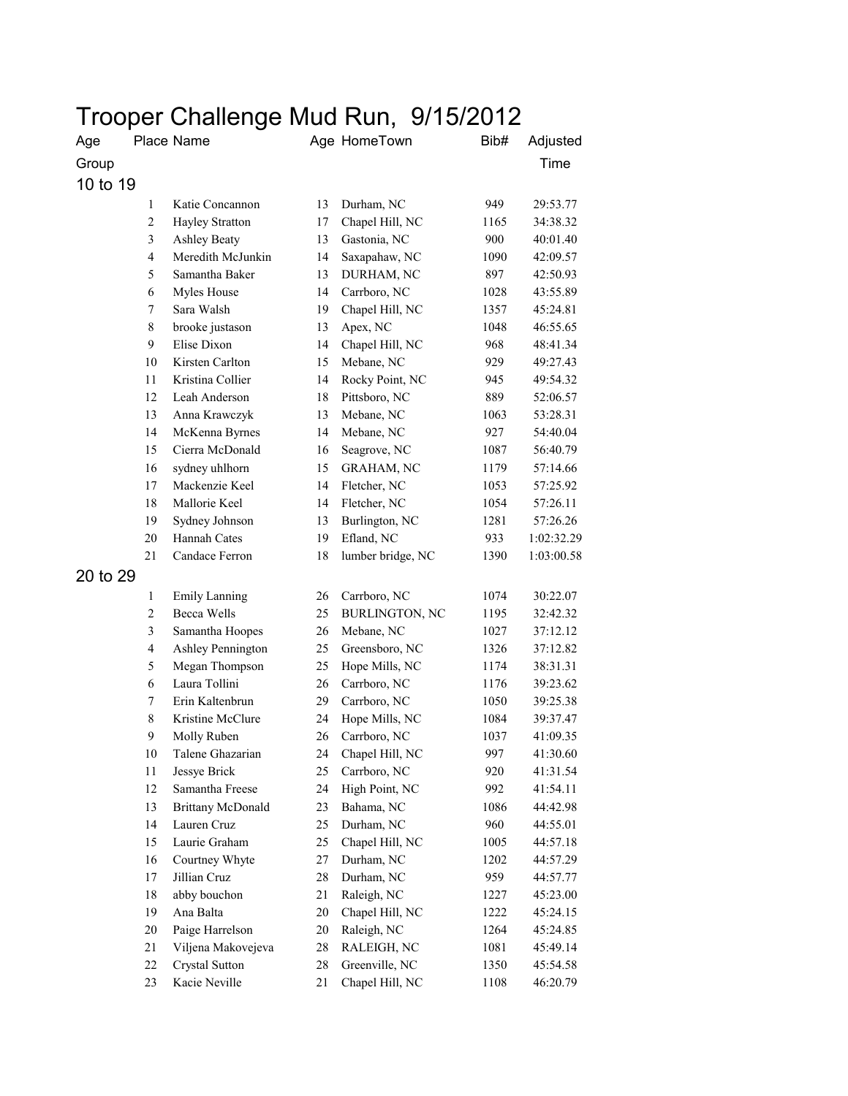## Trooper Challenge Mud Run, 9/15/2012

| Age      |                         | Place Name               |        | Age HomeTown          | Bib# | Adjusted   |
|----------|-------------------------|--------------------------|--------|-----------------------|------|------------|
| Group    |                         |                          |        |                       |      | Time       |
| 10 to 19 |                         |                          |        |                       |      |            |
|          | $\mathbf{1}$            | Katie Concannon          | 13     | Durham, NC            | 949  | 29:53.77   |
|          | $\overline{c}$          | Hayley Stratton          | 17     | Chapel Hill, NC       | 1165 | 34:38.32   |
|          | 3                       | <b>Ashley Beaty</b>      | 13     | Gastonia, NC          | 900  | 40:01.40   |
|          | $\overline{\mathbf{4}}$ | Meredith McJunkin        | 14     | Saxapahaw, NC         | 1090 | 42:09.57   |
|          | 5                       | Samantha Baker           | 13     | DURHAM, NC            | 897  | 42:50.93   |
|          | 6                       | Myles House              | 14     | Carrboro, NC          | 1028 | 43:55.89   |
|          | 7                       | Sara Walsh               | 19     | Chapel Hill, NC       | 1357 | 45:24.81   |
|          | 8                       | brooke justason          | 13     | Apex, NC              | 1048 | 46:55.65   |
|          | 9                       | Elise Dixon              | 14     | Chapel Hill, NC       | 968  | 48:41.34   |
|          | 10                      | Kirsten Carlton          | 15     | Mebane, NC            | 929  | 49:27.43   |
|          | 11                      | Kristina Collier         | 14     | Rocky Point, NC       | 945  | 49:54.32   |
|          | 12                      | Leah Anderson            | $18\,$ | Pittsboro, NC         | 889  | 52:06.57   |
|          | 13                      | Anna Krawczyk            | 13     | Mebane, NC            | 1063 | 53:28.31   |
|          | 14                      | McKenna Byrnes           | 14     | Mebane, NC            | 927  | 54:40.04   |
|          | 15                      | Cierra McDonald          | 16     | Seagrove, NC          | 1087 | 56:40.79   |
|          | 16                      | sydney uhlhorn           | 15     | <b>GRAHAM, NC</b>     | 1179 | 57:14.66   |
|          | 17                      | Mackenzie Keel           | 14     | Fletcher, NC          | 1053 | 57:25.92   |
|          | 18                      | Mallorie Keel            | 14     | Fletcher, NC          | 1054 | 57:26.11   |
|          | 19                      | Sydney Johnson           | 13     | Burlington, NC        | 1281 | 57:26.26   |
|          | 20                      | Hannah Cates             | 19     | Efland, NC            | 933  | 1:02:32.29 |
|          | 21                      | Candace Ferron           | 18     | lumber bridge, NC     | 1390 | 1:03:00.58 |
| 20 to 29 |                         |                          |        |                       |      |            |
|          | $\mathbf{1}$            | <b>Emily Lanning</b>     | 26     | Carrboro, NC          | 1074 | 30:22.07   |
|          | 2                       | <b>Becca Wells</b>       | 25     | <b>BURLINGTON, NC</b> | 1195 | 32:42.32   |
|          | 3                       | Samantha Hoopes          | 26     | Mebane, NC            | 1027 | 37:12.12   |
|          | 4                       | Ashley Pennington        | 25     | Greensboro, NC        | 1326 | 37:12.82   |
|          | 5                       | Megan Thompson           | 25     | Hope Mills, NC        | 1174 | 38:31.31   |
|          | 6                       | Laura Tollini            | 26     | Carrboro, NC          | 1176 | 39:23.62   |
|          | 7                       | Erin Kaltenbrun          | 29     | Carrboro, NC          | 1050 | 39:25.38   |
|          | 8                       | Kristine McClure         | 24     | Hope Mills, NC        | 1084 | 39:37.47   |
|          | 9                       | Molly Ruben              | 26     | Carrboro, NC          | 1037 | 41:09.35   |
|          | 10                      | Talene Ghazarian         | 24     | Chapel Hill, NC       | 997  | 41:30.60   |
|          | 11                      | Jessye Brick             | 25     | Carrboro, NC          | 920  | 41:31.54   |
|          | 12                      | Samantha Freese          | 24     | High Point, NC        | 992  | 41:54.11   |
|          | 13                      | <b>Brittany McDonald</b> | 23     | Bahama, NC            | 1086 | 44:42.98   |
|          | 14                      | Lauren Cruz              | 25     | Durham, NC            | 960  | 44:55.01   |
|          | 15                      | Laurie Graham            | 25     | Chapel Hill, NC       | 1005 | 44:57.18   |
|          | 16                      | Courtney Whyte           | 27     | Durham, NC            | 1202 | 44:57.29   |
|          | 17                      | Jillian Cruz             | 28     | Durham, NC            | 959  | 44:57.77   |
|          | 18                      | abby bouchon             | 21     | Raleigh, NC           | 1227 | 45:23.00   |
|          | 19                      | Ana Balta                | $20\,$ | Chapel Hill, NC       | 1222 | 45:24.15   |
|          | 20                      | Paige Harrelson          | $20\,$ | Raleigh, NC           | 1264 | 45:24.85   |
|          | 21                      | Viljena Makovejeva       | 28     | RALEIGH, NC           | 1081 | 45:49.14   |
|          | 22                      | Crystal Sutton           | 28     | Greenville, NC        | 1350 | 45:54.58   |
|          | 23                      | Kacie Neville            | 21     | Chapel Hill, NC       |      |            |
|          |                         |                          |        |                       | 1108 | 46:20.79   |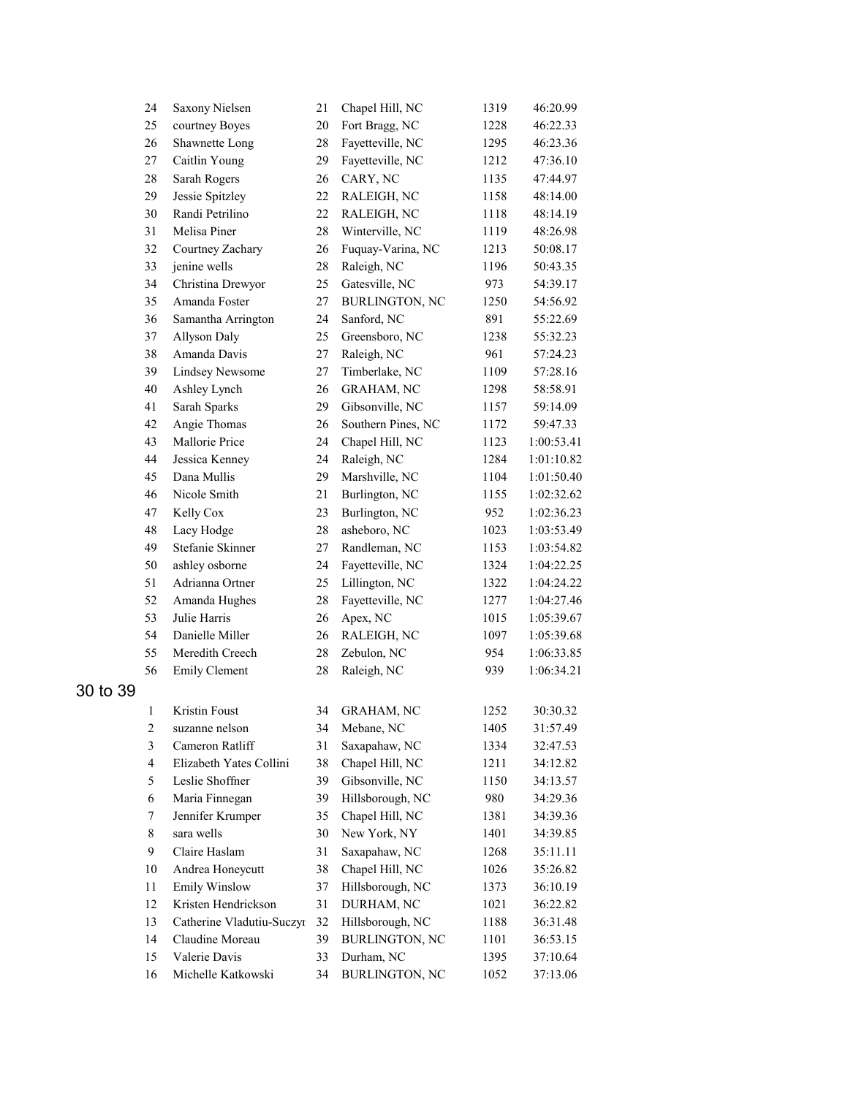|          | 24                      | Saxony Nielsen            | 21       | Chapel Hill, NC       | 1319         | 46:20.99   |
|----------|-------------------------|---------------------------|----------|-----------------------|--------------|------------|
|          | 25                      | courtney Boyes            | 20       | Fort Bragg, NC        | 1228         | 46:22.33   |
|          | 26                      | Shawnette Long            | 28       | Fayetteville, NC      | 1295         | 46:23.36   |
|          | $27\,$                  | Caitlin Young             | 29       | Fayetteville, NC      | 1212         | 47:36.10   |
|          | $28\,$                  | Sarah Rogers              | 26       | CARY, NC              | 1135         | 47:44.97   |
|          | 29                      | Jessie Spitzley           | 22       | RALEIGH, NC           | 1158         | 48:14.00   |
|          | 30                      | Randi Petrilino           | 22       | RALEIGH, NC           | 1118         | 48:14.19   |
|          | 31                      | Melisa Piner              | 28       | Winterville, NC       | 1119         | 48:26.98   |
|          | 32                      | Courtney Zachary          | 26       | Fuquay-Varina, NC     | 1213         | 50:08.17   |
|          | 33                      | jenine wells              | 28       | Raleigh, NC           | 1196         | 50:43.35   |
|          | 34                      | Christina Drewyor         | 25       | Gatesville, NC        | 973          | 54:39.17   |
|          | 35                      | Amanda Foster             | 27       | <b>BURLINGTON, NC</b> | 1250         | 54:56.92   |
|          | 36                      | Samantha Arrington        | 24       | Sanford, NC           | 891          | 55:22.69   |
|          | 37                      | Allyson Daly              | 25       | Greensboro, NC        | 1238         | 55:32.23   |
|          | 38                      | Amanda Davis              | 27       | Raleigh, NC           | 961          | 57:24.23   |
|          | 39                      | <b>Lindsey Newsome</b>    | 27       | Timberlake, NC        | 1109         | 57:28.16   |
|          | $40\,$                  | Ashley Lynch              | 26       | <b>GRAHAM, NC</b>     | 1298         | 58:58.91   |
|          | 41                      | Sarah Sparks              | 29       | Gibsonville, NC       | 1157         | 59:14.09   |
|          | 42                      | Angie Thomas              | 26       | Southern Pines, NC    | 1172         | 59:47.33   |
|          | 43                      | Mallorie Price            | 24       | Chapel Hill, NC       | 1123         | 1:00:53.41 |
|          | 44                      | Jessica Kenney            | 24       | Raleigh, NC           | 1284         | 1:01:10.82 |
|          | 45                      | Dana Mullis               | 29       | Marshville, NC        | 1104         | 1:01:50.40 |
|          | 46                      | Nicole Smith              | 21       | Burlington, NC        | 1155         | 1:02:32.62 |
|          | 47                      | Kelly Cox                 | 23       | Burlington, NC        | 952          | 1:02:36.23 |
|          | 48                      | Lacy Hodge                | 28       | asheboro, NC          | 1023         | 1:03:53.49 |
|          | 49                      | Stefanie Skinner          | 27       | Randleman, NC         | 1153         | 1:03:54.82 |
|          | 50                      | ashley osborne            | 24       | Fayetteville, NC      | 1324         | 1:04:22.25 |
|          | 51                      | Adrianna Ortner           | 25       | Lillington, NC        | 1322         | 1:04:24.22 |
|          | 52                      | Amanda Hughes             | 28       | Fayetteville, NC      | 1277         | 1:04:27.46 |
|          | 53                      | Julie Harris              | 26       | Apex, NC              | 1015         | 1:05:39.67 |
|          | 54                      | Danielle Miller           | 26       | RALEIGH, NC           | 1097         | 1:05:39.68 |
|          | 55                      | Meredith Creech           | 28       | Zebulon, NC           | 954          | 1:06:33.85 |
|          | 56                      | <b>Emily Clement</b>      | 28       | Raleigh, NC           | 939          | 1:06:34.21 |
| 30 to 39 |                         |                           |          |                       |              |            |
|          | 1                       | Kristin Foust             | 34       | <b>GRAHAM, NC</b>     | 1252         | 30:30.32   |
|          | $\overline{c}$          | suzanne nelson            | 34       | Mebane, NC            | 1405         | 31:57.49   |
|          | $\mathfrak{Z}$          | Cameron Ratliff           | 31       | Saxapahaw, NC         | 1334         | 32:47.53   |
|          | $\overline{\mathbf{4}}$ | Elizabeth Yates Collini   | 38       | Chapel Hill, NC       | 1211         | 34:12.82   |
|          | 5                       | Leslie Shoffner           | 39       | Gibsonville, NC       | 1150         | 34:13.57   |
|          | 6                       | Maria Finnegan            | 39       | Hillsborough, NC      | 980          | 34:29.36   |
|          | 7                       | Jennifer Krumper          | 35       | Chapel Hill, NC       | 1381         | 34:39.36   |
|          | 8                       | sara wells                | 30       | New York, NY          | 1401         | 34:39.85   |
|          | 9                       | Claire Haslam             | 31       | Saxapahaw, NC         | 1268         | 35:11.11   |
|          |                         | Andrea Honeycutt          |          | Chapel Hill, NC       |              | 35:26.82   |
|          | 10<br>11                | <b>Emily Winslow</b>      | 38<br>37 | Hillsborough, NC      | 1026<br>1373 | 36:10.19   |
|          | 12                      | Kristen Hendrickson       | 31       | DURHAM, NC            | 1021         | 36:22.82   |
|          | 13                      | Catherine Vladutiu-Suczyr | 32       | Hillsborough, NC      | 1188         | 36:31.48   |
|          | 14                      | Claudine Moreau           | 39       | <b>BURLINGTON, NC</b> | 1101         | 36:53.15   |
|          | 15                      | Valerie Davis             | 33       | Durham, NC            | 1395         | 37:10.64   |
|          | 16                      | Michelle Katkowski        | 34       | <b>BURLINGTON, NC</b> | 1052         | 37:13.06   |
|          |                         |                           |          |                       |              |            |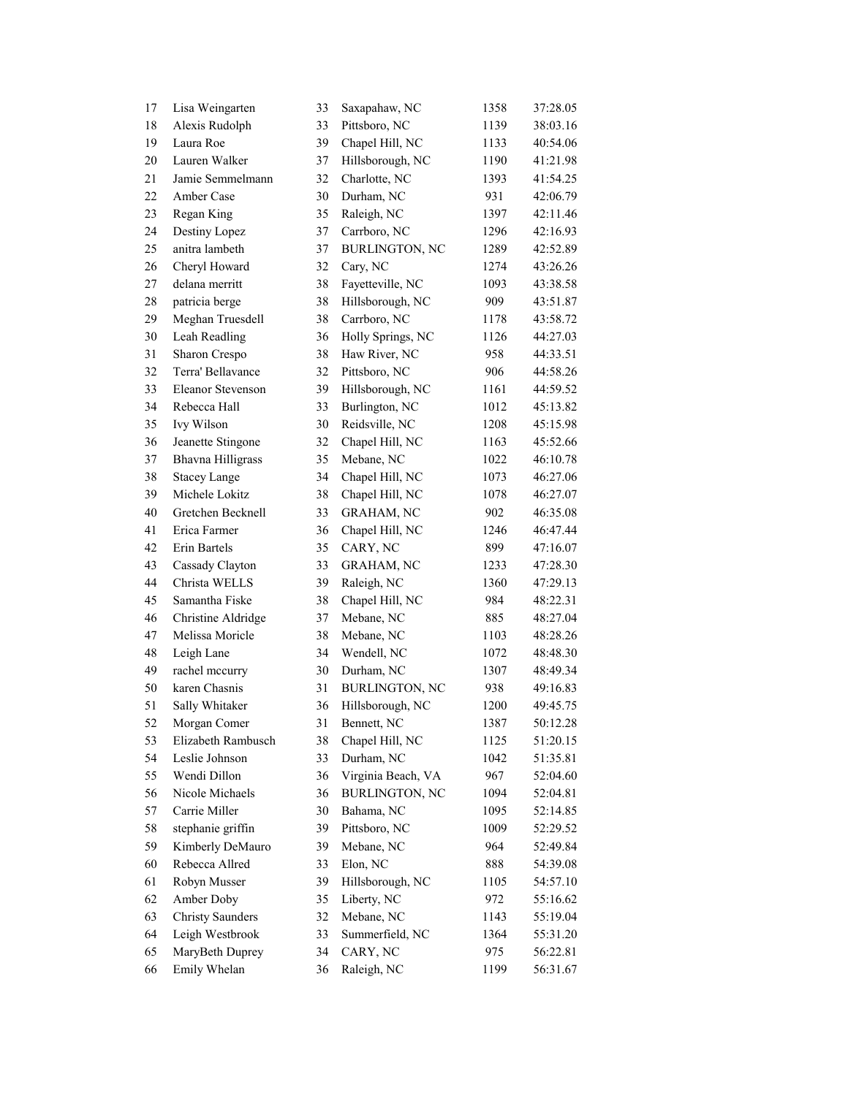| 17 | Lisa Weingarten          | 33 | Saxapahaw, NC         | 1358 | 37:28.05 |
|----|--------------------------|----|-----------------------|------|----------|
| 18 | Alexis Rudolph           | 33 | Pittsboro, NC         | 1139 | 38:03.16 |
| 19 | Laura Roe                | 39 | Chapel Hill, NC       | 1133 | 40:54.06 |
| 20 | Lauren Walker            | 37 | Hillsborough, NC      | 1190 | 41:21.98 |
| 21 | Jamie Semmelmann         | 32 | Charlotte, NC         | 1393 | 41:54.25 |
| 22 | Amber Case               | 30 | Durham, NC            | 931  | 42:06.79 |
| 23 | Regan King               | 35 | Raleigh, NC           | 1397 | 42:11.46 |
| 24 | Destiny Lopez            | 37 | Carrboro, NC          | 1296 | 42:16.93 |
| 25 | anitra lambeth           | 37 | <b>BURLINGTON, NC</b> | 1289 | 42:52.89 |
| 26 | Cheryl Howard            | 32 | Cary, NC              | 1274 | 43:26.26 |
| 27 | delana merritt           | 38 | Fayetteville, NC      | 1093 | 43:38.58 |
| 28 | patricia berge           | 38 | Hillsborough, NC      | 909  | 43:51.87 |
| 29 | Meghan Truesdell         | 38 | Carrboro, NC          | 1178 | 43:58.72 |
| 30 | Leah Readling            | 36 | Holly Springs, NC     | 1126 | 44:27.03 |
| 31 | Sharon Crespo            | 38 | Haw River, NC         | 958  | 44:33.51 |
| 32 | Terra' Bellavance        | 32 | Pittsboro, NC         | 906  | 44:58.26 |
| 33 | <b>Eleanor Stevenson</b> | 39 | Hillsborough, NC      | 1161 | 44:59.52 |
| 34 | Rebecca Hall             | 33 | Burlington, NC        | 1012 | 45:13.82 |
| 35 | Ivy Wilson               | 30 | Reidsville, NC        | 1208 | 45:15.98 |
| 36 | Jeanette Stingone        | 32 | Chapel Hill, NC       | 1163 | 45:52.66 |
| 37 | <b>Bhavna Hilligrass</b> | 35 | Mebane, NC            | 1022 | 46:10.78 |
| 38 | <b>Stacey Lange</b>      | 34 | Chapel Hill, NC       | 1073 | 46:27.06 |
| 39 | Michele Lokitz           | 38 | Chapel Hill, NC       | 1078 | 46:27.07 |
| 40 | Gretchen Becknell        | 33 | GRAHAM, NC            | 902  | 46:35.08 |
| 41 | Erica Farmer             | 36 | Chapel Hill, NC       | 1246 | 46:47.44 |
| 42 | Erin Bartels             | 35 | CARY, NC              | 899  | 47:16.07 |
| 43 | Cassady Clayton          | 33 | <b>GRAHAM, NC</b>     | 1233 | 47:28.30 |
| 44 | Christa WELLS            | 39 | Raleigh, NC           | 1360 | 47:29.13 |
| 45 | Samantha Fiske           | 38 | Chapel Hill, NC       | 984  | 48:22.31 |
| 46 | Christine Aldridge       | 37 | Mebane, NC            | 885  | 48:27.04 |
| 47 | Melissa Moricle          | 38 | Mebane, NC            | 1103 | 48:28.26 |
| 48 | Leigh Lane               | 34 | Wendell, NC           | 1072 | 48:48.30 |
| 49 | rachel mccurry           | 30 | Durham, NC            | 1307 | 48:49.34 |
| 50 | karen Chasnis            | 31 | <b>BURLINGTON, NC</b> | 938  | 49:16.83 |
| 51 | Sally Whitaker           | 36 | Hillsborough, NC      | 1200 | 49:45.75 |
| 52 | Morgan Comer             | 31 | Bennett, NC           | 1387 | 50:12.28 |
| 53 | Elizabeth Rambusch       | 38 | Chapel Hill, NC       | 1125 | 51:20.15 |
| 54 | Leslie Johnson           | 33 | Durham, NC            | 1042 | 51:35.81 |
| 55 | Wendi Dillon             | 36 | Virginia Beach, VA    | 967  | 52:04.60 |
| 56 | Nicole Michaels          | 36 | <b>BURLINGTON, NC</b> | 1094 | 52:04.81 |
| 57 | Carrie Miller            | 30 | Bahama, NC            | 1095 | 52:14.85 |
| 58 | stephanie griffin        | 39 | Pittsboro, NC         | 1009 | 52:29.52 |
| 59 | Kimberly DeMauro         | 39 | Mebane, NC            | 964  | 52:49.84 |
| 60 | Rebecca Allred           | 33 | Elon, NC              | 888  | 54:39.08 |
| 61 | Robyn Musser             | 39 | Hillsborough, NC      | 1105 | 54:57.10 |
| 62 | Amber Doby               | 35 | Liberty, NC           | 972  | 55:16.62 |
| 63 | <b>Christy Saunders</b>  | 32 | Mebane, NC            | 1143 | 55:19.04 |
| 64 | Leigh Westbrook          | 33 | Summerfield, NC       | 1364 | 55:31.20 |
| 65 | MaryBeth Duprey          | 34 | CARY, NC              | 975  | 56:22.81 |
| 66 | Emily Whelan             | 36 | Raleigh, NC           | 1199 | 56:31.67 |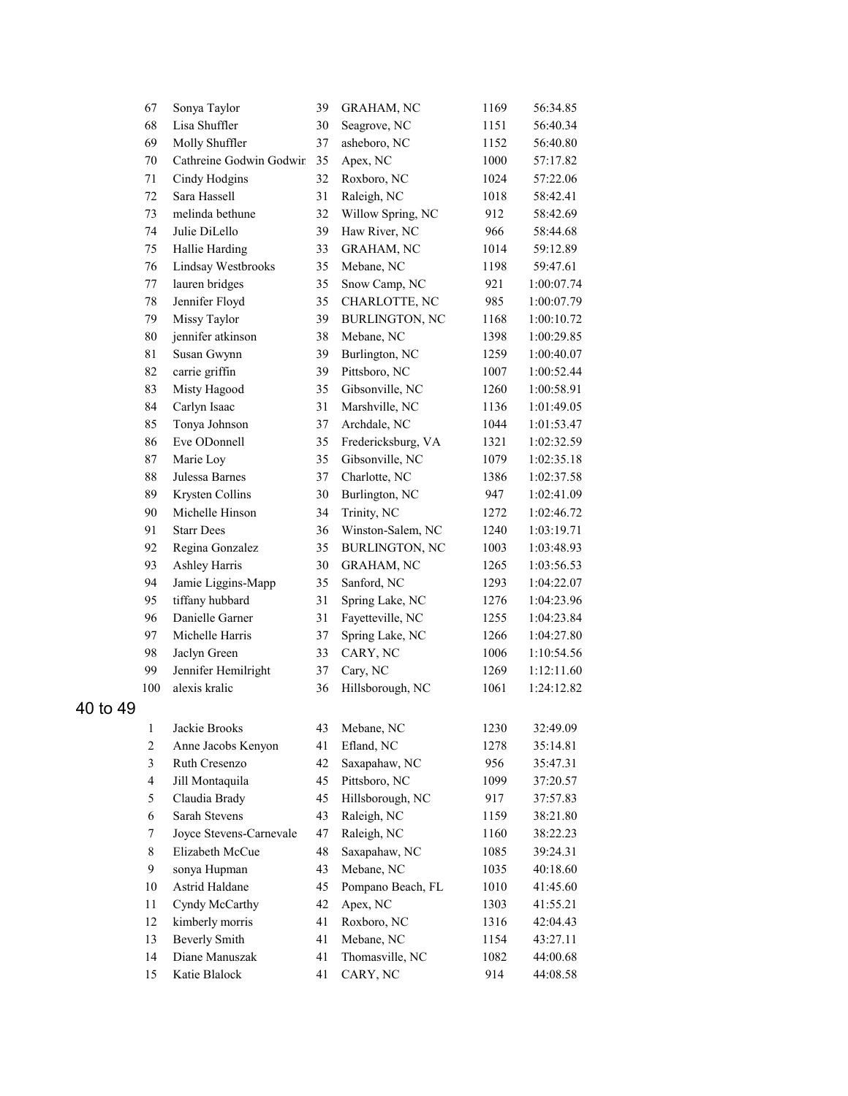|          | 67                      | Sonya Taylor                           | 39 | GRAHAM, NC                    | 1169 | 56:34.85   |
|----------|-------------------------|----------------------------------------|----|-------------------------------|------|------------|
|          | 68                      | Lisa Shuffler                          | 30 | Seagrove, NC                  | 1151 | 56:40.34   |
|          | 69                      | Molly Shuffler                         | 37 | asheboro, NC                  | 1152 | 56:40.80   |
|          | 70                      | Cathreine Godwin Godwir                | 35 | Apex, NC                      | 1000 | 57:17.82   |
|          | 71                      | Cindy Hodgins                          | 32 | Roxboro, NC                   | 1024 | 57:22.06   |
|          | 72                      | Sara Hassell                           | 31 | Raleigh, NC                   | 1018 | 58:42.41   |
|          | 73                      | melinda bethune                        | 32 | Willow Spring, NC             | 912  | 58:42.69   |
|          | 74                      | Julie DiLello                          | 39 | Haw River, NC                 | 966  | 58:44.68   |
|          | 75                      | Hallie Harding                         | 33 | <b>GRAHAM, NC</b>             | 1014 | 59:12.89   |
|          | 76                      | Lindsay Westbrooks                     | 35 | Mebane, NC                    | 1198 | 59:47.61   |
|          | $77\,$                  | lauren bridges                         | 35 | Snow Camp, NC                 | 921  | 1:00:07.74 |
|          | 78                      | Jennifer Floyd                         | 35 | CHARLOTTE, NC                 | 985  | 1:00:07.79 |
|          | 79                      | Missy Taylor                           | 39 | <b>BURLINGTON, NC</b>         | 1168 | 1:00:10.72 |
|          | 80                      | jennifer atkinson                      | 38 | Mebane, NC                    | 1398 | 1:00:29.85 |
|          | 81                      | Susan Gwynn                            | 39 | Burlington, NC                | 1259 | 1:00:40.07 |
|          | 82                      | carrie griffin                         | 39 | Pittsboro, NC                 | 1007 | 1:00:52.44 |
|          | 83                      | Misty Hagood                           | 35 | Gibsonville, NC               | 1260 | 1:00:58.91 |
|          | 84                      | Carlyn Isaac                           | 31 | Marshville, NC                | 1136 | 1:01:49.05 |
|          | 85                      | Tonya Johnson                          | 37 | Archdale, NC                  | 1044 | 1:01:53.47 |
|          | 86                      | Eve ODonnell                           | 35 | Fredericksburg, VA            | 1321 | 1:02:32.59 |
|          | 87                      | Marie Loy                              | 35 | Gibsonville, NC               | 1079 | 1:02:35.18 |
|          | 88                      | Julessa Barnes                         | 37 | Charlotte, NC                 | 1386 | 1:02:37.58 |
|          | 89                      | Krysten Collins                        | 30 | Burlington, NC                | 947  | 1:02:41.09 |
|          | 90                      | Michelle Hinson                        | 34 | Trinity, NC                   | 1272 | 1:02:46.72 |
|          | 91                      | <b>Starr Dees</b>                      | 36 | Winston-Salem, NC             | 1240 | 1:03:19.71 |
|          | 92                      | Regina Gonzalez                        | 35 | <b>BURLINGTON, NC</b>         | 1003 | 1:03:48.93 |
|          | 93                      | Ashley Harris                          | 30 | <b>GRAHAM, NC</b>             | 1265 | 1:03:56.53 |
|          | 94                      | Jamie Liggins-Mapp                     | 35 | Sanford, NC                   | 1293 | 1:04:22.07 |
|          | 95                      | tiffany hubbard                        | 31 | Spring Lake, NC               | 1276 | 1:04:23.96 |
|          | 96                      | Danielle Garner                        | 31 | Fayetteville, NC              | 1255 | 1:04:23.84 |
|          | 97                      | Michelle Harris                        | 37 | Spring Lake, NC               | 1266 | 1:04:27.80 |
|          | 98                      | Jaclyn Green                           | 33 | CARY, NC                      | 1006 | 1:10:54.56 |
|          | 99                      | Jennifer Hemilright                    | 37 | Cary, NC                      | 1269 | 1:12:11.60 |
|          | 100                     | alexis kralic                          | 36 | Hillsborough, NC              | 1061 | 1:24:12.82 |
| 40 to 49 |                         |                                        |    |                               |      |            |
|          | $\mathbf{1}$            | Jackie Brooks                          | 43 | Mebane, NC                    | 1230 | 32:49.09   |
|          | $\overline{c}$          | Anne Jacobs Kenyon                     | 41 | Efland, NC                    | 1278 | 35:14.81   |
|          | 3                       | Ruth Cresenzo                          | 42 | Saxapahaw, NC                 | 956  | 35:47.31   |
|          | $\overline{\mathbf{4}}$ | Jill Montaquila                        | 45 | Pittsboro, NC                 | 1099 | 37:20.57   |
|          | 5                       | Claudia Brady                          | 45 | Hillsborough, NC              | 917  | 37:57.83   |
|          | 6                       | Sarah Stevens                          | 43 | Raleigh, NC                   | 1159 | 38:21.80   |
|          | 7                       | Joyce Stevens-Carnevale                | 47 | Raleigh, NC                   | 1160 | 38:22.23   |
|          | $\,$ 8 $\,$             | Elizabeth McCue                        | 48 | Saxapahaw, NC                 | 1085 | 39:24.31   |
|          | 9                       |                                        |    | Mebane, NC                    |      |            |
|          |                         | sonya Hupman                           | 43 |                               | 1035 | 40:18.60   |
|          | $10\,$<br>11            | Astrid Haldane                         | 45 | Pompano Beach, FL<br>Apex, NC | 1010 | 41:45.60   |
|          | 12                      | Cyndy McCarthy                         | 42 |                               | 1303 | 41:55.21   |
|          |                         | kimberly morris                        | 41 | Roxboro, NC                   | 1316 | 42:04.43   |
|          | 13                      | <b>Beverly Smith</b><br>Diane Manuszak | 41 | Mebane, NC                    | 1154 | 43:27.11   |
|          | 14                      |                                        | 41 | Thomasville, NC               | 1082 | 44:00.68   |
|          | 15                      | Katie Blalock                          | 41 | CARY, NC                      | 914  | 44:08.58   |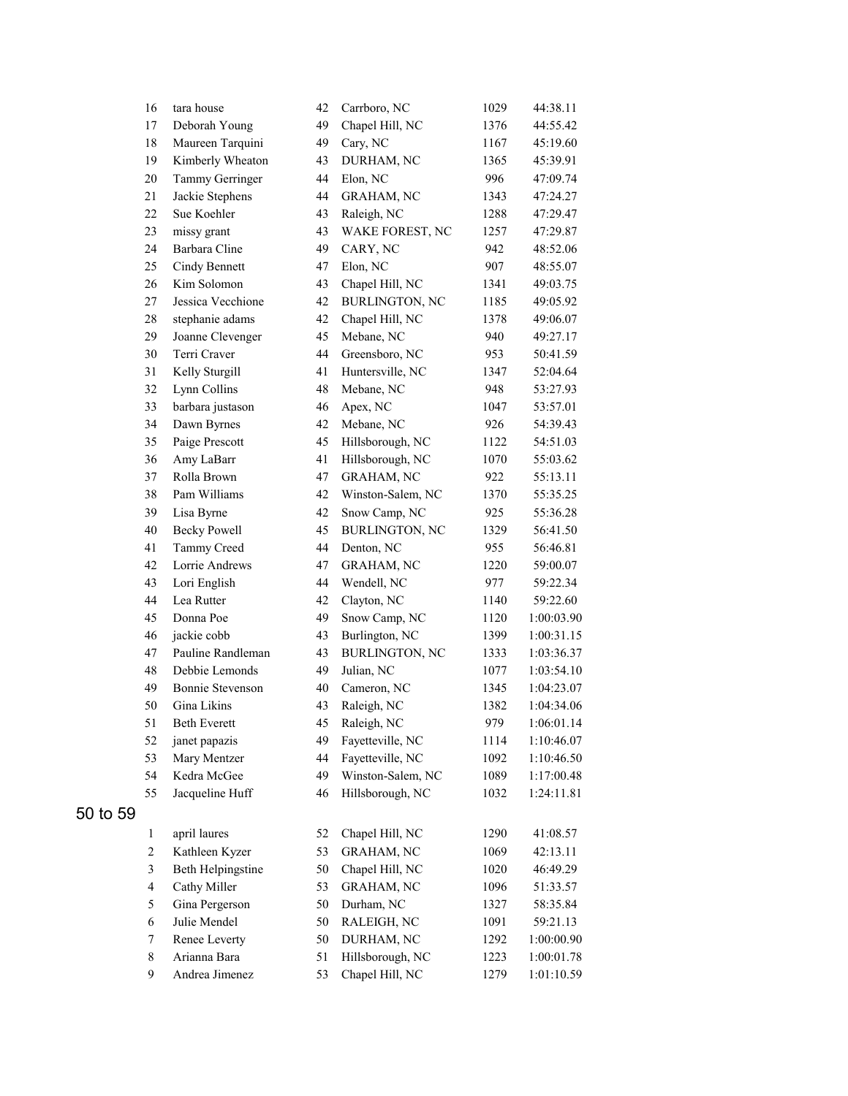|          | 16                      | tara house              | 42 | Carrboro, NC          | 1029 | 44:38.11   |
|----------|-------------------------|-------------------------|----|-----------------------|------|------------|
|          | 17                      | Deborah Young           | 49 | Chapel Hill, NC       | 1376 | 44:55.42   |
|          | 18                      | Maureen Tarquini        | 49 | Cary, NC              | 1167 | 45:19.60   |
|          | 19                      | Kimberly Wheaton        | 43 | DURHAM, NC            | 1365 | 45:39.91   |
|          | 20                      | Tammy Gerringer         | 44 | Elon, NC              | 996  | 47:09.74   |
|          | 21                      | Jackie Stephens         | 44 | <b>GRAHAM, NC</b>     | 1343 | 47:24.27   |
|          | 22                      | Sue Koehler             | 43 | Raleigh, NC           | 1288 | 47:29.47   |
|          | 23                      | missy grant             | 43 | WAKE FOREST, NC       | 1257 | 47:29.87   |
|          | 24                      | Barbara Cline           | 49 | CARY, NC              | 942  | 48:52.06   |
|          | 25                      | Cindy Bennett           | 47 | Elon, NC              | 907  | 48:55.07   |
|          | 26                      | Kim Solomon             | 43 | Chapel Hill, NC       | 1341 | 49:03.75   |
|          | 27                      | Jessica Vecchione       | 42 | <b>BURLINGTON, NC</b> | 1185 | 49:05.92   |
|          | 28                      | stephanie adams         | 42 | Chapel Hill, NC       | 1378 | 49:06.07   |
|          | 29                      | Joanne Clevenger        | 45 | Mebane, NC            | 940  | 49:27.17   |
|          | 30                      | Terri Craver            | 44 | Greensboro, NC        | 953  | 50:41.59   |
|          | 31                      | Kelly Sturgill          | 41 | Huntersville, NC      | 1347 | 52:04.64   |
|          | 32                      | Lynn Collins            | 48 | Mebane, NC            | 948  | 53:27.93   |
|          | 33                      | barbara justason        | 46 | Apex, NC              | 1047 | 53:57.01   |
|          | 34                      | Dawn Byrnes             | 42 | Mebane, NC            | 926  | 54:39.43   |
|          | 35                      | Paige Prescott          | 45 | Hillsborough, NC      | 1122 | 54:51.03   |
|          | 36                      | Amy LaBarr              | 41 | Hillsborough, NC      | 1070 | 55:03.62   |
|          | 37                      | Rolla Brown             | 47 | <b>GRAHAM, NC</b>     | 922  | 55:13.11   |
|          | 38                      | Pam Williams            | 42 | Winston-Salem, NC     | 1370 | 55:35.25   |
|          | 39                      | Lisa Byrne              | 42 | Snow Camp, NC         | 925  | 55:36.28   |
|          | 40                      | <b>Becky Powell</b>     | 45 | <b>BURLINGTON, NC</b> | 1329 | 56:41.50   |
|          | 41                      | Tammy Creed             | 44 | Denton, NC            | 955  | 56:46.81   |
|          | 42                      | Lorrie Andrews          | 47 | <b>GRAHAM, NC</b>     | 1220 | 59:00.07   |
|          | 43                      | Lori English            | 44 | Wendell, NC           | 977  | 59:22.34   |
|          | 44                      | Lea Rutter              | 42 | Clayton, NC           | 1140 | 59:22.60   |
|          | 45                      | Donna Poe               | 49 | Snow Camp, NC         | 1120 | 1:00:03.90 |
|          | 46                      | jackie cobb             | 43 | Burlington, NC        | 1399 | 1:00:31.15 |
|          | 47                      | Pauline Randleman       | 43 | <b>BURLINGTON, NC</b> | 1333 | 1:03:36.37 |
|          | 48                      | Debbie Lemonds          | 49 | Julian, NC            | 1077 | 1:03:54.10 |
|          | 49                      | <b>Bonnie Stevenson</b> | 40 | Cameron, NC           | 1345 | 1:04:23.07 |
|          | 50                      | Gina Likins             | 43 | Raleigh, NC           | 1382 | 1:04:34.06 |
|          | 51                      | <b>Beth Everett</b>     | 45 | Raleigh, NC           | 979  | 1:06:01.14 |
|          | 52                      | janet papazis           | 49 | Fayetteville, NC      | 1114 | 1:10:46.07 |
|          | 53                      | Mary Mentzer            | 44 | Fayetteville, NC      | 1092 | 1:10:46.50 |
|          | 54                      | Kedra McGee             | 49 | Winston-Salem, NC     | 1089 | 1:17:00.48 |
|          | 55                      | Jacqueline Huff         | 46 | Hillsborough, NC      | 1032 | 1:24:11.81 |
| 50 to 59 |                         |                         |    |                       |      |            |
|          | $\mathbf{1}$            | april laures            | 52 | Chapel Hill, NC       | 1290 | 41:08.57   |
|          | $\mathbf{2}$            | Kathleen Kyzer          | 53 | GRAHAM, NC            | 1069 | 42:13.11   |
|          | 3                       | Beth Helpingstine       | 50 | Chapel Hill, NC       | 1020 | 46:49.29   |
|          | $\overline{\mathbf{4}}$ | Cathy Miller            | 53 | <b>GRAHAM, NC</b>     | 1096 | 51:33.57   |
|          | 5                       | Gina Pergerson          | 50 | Durham, NC            | 1327 | 58:35.84   |
|          | 6                       | Julie Mendel            | 50 | RALEIGH, NC           | 1091 | 59:21.13   |
|          | 7                       | Renee Leverty           | 50 | DURHAM, NC            | 1292 | 1:00:00.90 |
|          | $\,$ 8 $\,$             | Arianna Bara            | 51 | Hillsborough, NC      | 1223 | 1:00:01.78 |
|          | 9                       | Andrea Jimenez          | 53 | Chapel Hill, NC       | 1279 | 1:01:10.59 |
|          |                         |                         |    |                       |      |            |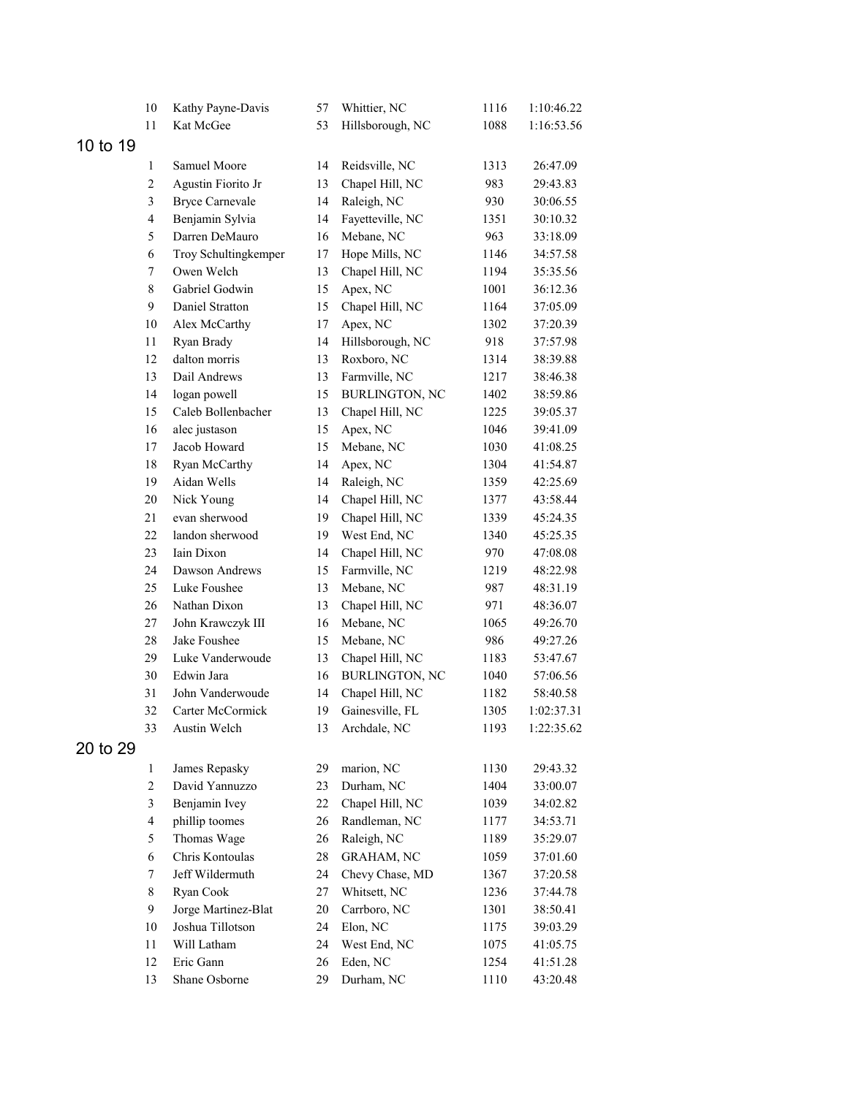|          | $10\,$                  | Kathy Payne-Davis      | 57 | Whittier, NC          | 1116 | 1:10:46.22 |
|----------|-------------------------|------------------------|----|-----------------------|------|------------|
|          | 11                      | Kat McGee              | 53 | Hillsborough, NC      | 1088 | 1:16:53.56 |
| 10 to 19 |                         |                        |    |                       |      |            |
|          | 1                       | Samuel Moore           | 14 | Reidsville, NC        | 1313 | 26:47.09   |
|          | $\mathbf{2}$            | Agustin Fiorito Jr     | 13 | Chapel Hill, NC       | 983  | 29:43.83   |
|          | 3                       | <b>Bryce Carnevale</b> | 14 | Raleigh, NC           | 930  | 30:06.55   |
|          | $\overline{\mathbf{4}}$ | Benjamin Sylvia        | 14 | Fayetteville, NC      | 1351 | 30:10.32   |
|          | 5                       | Darren DeMauro         | 16 | Mebane, NC            | 963  | 33:18.09   |
|          | 6                       | Troy Schultingkemper   | 17 | Hope Mills, NC        | 1146 | 34:57.58   |
|          | $\tau$                  | Owen Welch             | 13 | Chapel Hill, NC       | 1194 | 35:35.56   |
|          | 8                       | Gabriel Godwin         | 15 | Apex, NC              | 1001 | 36:12.36   |
|          | 9                       | Daniel Stratton        | 15 | Chapel Hill, NC       | 1164 | 37:05.09   |
|          | $10\,$                  | Alex McCarthy          | 17 | Apex, NC              | 1302 | 37:20.39   |
|          | $11\,$                  | Ryan Brady             | 14 | Hillsborough, NC      | 918  | 37:57.98   |
|          | 12                      | dalton morris          | 13 | Roxboro, NC           | 1314 | 38:39.88   |
|          | 13                      | Dail Andrews           | 13 | Farmville, NC         | 1217 | 38:46.38   |
|          | 14                      | logan powell           | 15 | BURLINGTON, NC        | 1402 | 38:59.86   |
|          | 15                      | Caleb Bollenbacher     | 13 | Chapel Hill, NC       | 1225 | 39:05.37   |
|          | 16                      | alec justason          | 15 | Apex, NC              | 1046 | 39:41.09   |
|          | 17                      | Jacob Howard           | 15 | Mebane, NC            | 1030 | 41:08.25   |
|          | 18                      | Ryan McCarthy          | 14 | Apex, NC              | 1304 | 41:54.87   |
|          | 19                      | Aidan Wells            | 14 | Raleigh, NC           | 1359 | 42:25.69   |
|          | $20\,$                  | Nick Young             | 14 | Chapel Hill, NC       | 1377 | 43:58.44   |
|          | 21                      | evan sherwood          | 19 | Chapel Hill, NC       | 1339 | 45:24.35   |
|          | 22                      | landon sherwood        | 19 | West End, NC          | 1340 | 45:25.35   |
|          | 23                      | Iain Dixon             | 14 | Chapel Hill, NC       | 970  | 47:08.08   |
|          | 24                      | Dawson Andrews         | 15 | Farmville, NC         | 1219 | 48:22.98   |
|          | 25                      | Luke Foushee           | 13 | Mebane, NC            | 987  | 48:31.19   |
|          | 26                      | Nathan Dixon           | 13 | Chapel Hill, NC       | 971  | 48:36.07   |
|          | 27                      | John Krawczyk III      | 16 | Mebane, NC            | 1065 | 49:26.70   |
|          | $28\,$                  | Jake Foushee           | 15 | Mebane, NC            | 986  | 49:27.26   |
|          | 29                      | Luke Vanderwoude       | 13 | Chapel Hill, NC       | 1183 | 53:47.67   |
|          | 30                      | Edwin Jara             | 16 | <b>BURLINGTON, NC</b> | 1040 | 57:06.56   |
|          | 31                      | John Vanderwoude       | 14 | Chapel Hill, NC       | 1182 | 58:40.58   |
|          | 32                      | Carter McCormick       | 19 | Gainesville, FL       | 1305 | 1:02:37.31 |
|          | 33                      | Austin Welch           | 13 | Archdale, NC          | 1193 | 1:22:35.62 |
| 20 to 29 |                         |                        |    |                       |      |            |
|          | 1                       | James Repasky          | 29 | marion, NC            | 1130 | 29:43.32   |
|          | $\overline{c}$          | David Yannuzzo         | 23 | Durham, NC            | 1404 | 33:00.07   |
|          | 3                       | Benjamin Ivey          | 22 | Chapel Hill, NC       | 1039 | 34:02.82   |
|          | $\overline{\mathbf{4}}$ | phillip toomes         | 26 | Randleman, NC         | 1177 | 34:53.71   |
|          | 5                       | Thomas Wage            | 26 | Raleigh, NC           | 1189 | 35:29.07   |
|          | 6                       | Chris Kontoulas        | 28 | GRAHAM, NC            | 1059 | 37:01.60   |
|          | 7                       | Jeff Wildermuth        | 24 | Chevy Chase, MD       | 1367 | 37:20.58   |
|          | 8                       | Ryan Cook              | 27 | Whitsett, NC          | 1236 | 37:44.78   |
|          | 9                       | Jorge Martinez-Blat    | 20 | Carrboro, NC          | 1301 | 38:50.41   |
|          | 10                      | Joshua Tillotson       | 24 | Elon, NC              | 1175 | 39:03.29   |
|          | 11                      | Will Latham            | 24 | West End, NC          | 1075 | 41:05.75   |
|          | 12                      | Eric Gann              | 26 | Eden, NC              | 1254 | 41:51.28   |
|          | 13                      | Shane Osborne          | 29 | Durham, NC            | 1110 | 43:20.48   |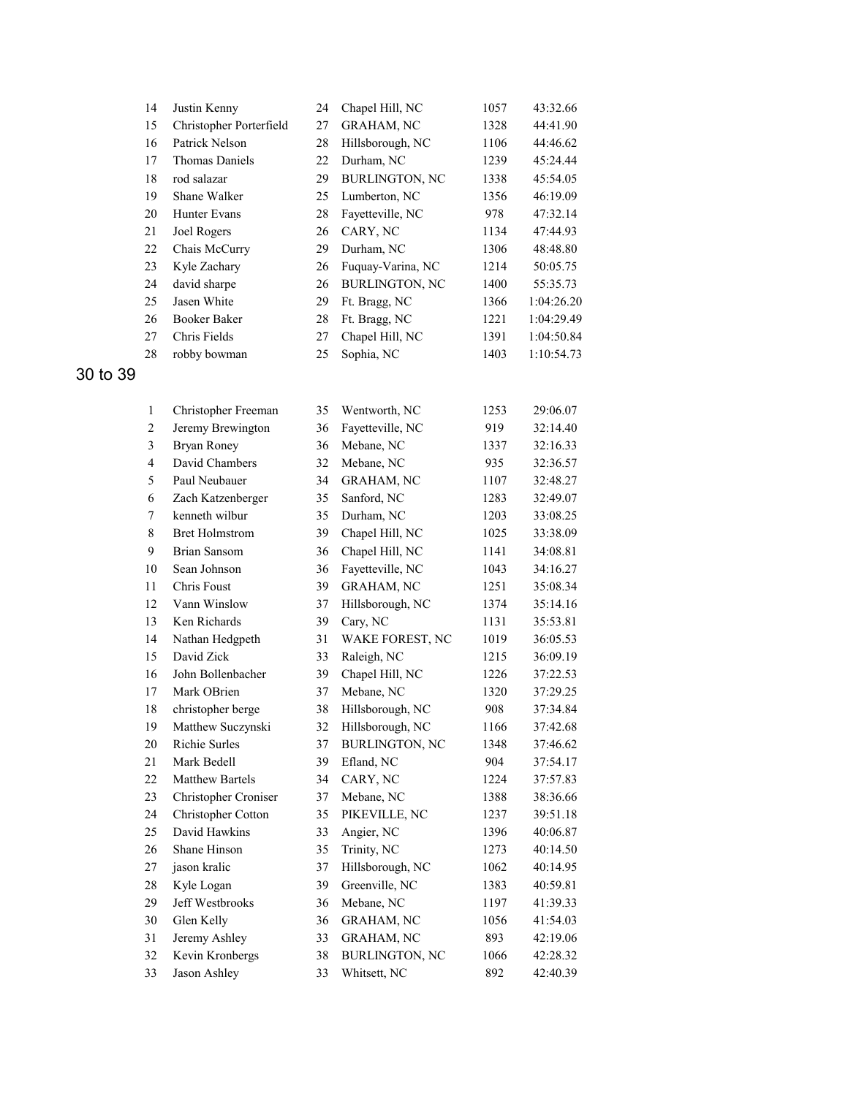| 14 | Justin Kenny            | 24 | Chapel Hill, NC       | 1057 | 43:32.66   |
|----|-------------------------|----|-----------------------|------|------------|
| 15 | Christopher Porterfield | 27 | <b>GRAHAM, NC</b>     | 1328 | 44:41.90   |
| 16 | Patrick Nelson          | 28 | Hillsborough, NC      | 1106 | 44:46.62   |
| 17 | Thomas Daniels          | 22 | Durham, NC            | 1239 | 45:24.44   |
| 18 | rod salazar             | 29 | <b>BURLINGTON, NC</b> | 1338 | 45:54.05   |
| 19 | Shane Walker            | 25 | Lumberton, NC         | 1356 | 46:19.09   |
| 20 | <b>Hunter Evans</b>     | 28 | Favetteville, NC      | 978  | 47:32.14   |
| 21 | Joel Rogers             | 26 | CARY, NC              | 1134 | 47:44.93   |
| 22 | Chais McCurry           | 29 | Durham, NC            | 1306 | 48:48.80   |
| 23 | Kyle Zachary            | 26 | Fuquay-Varina, NC     | 1214 | 50:05.75   |
| 24 | david sharpe            | 26 | <b>BURLINGTON, NC</b> | 1400 | 55:35.73   |
| 25 | Jasen White             | 29 | Ft. Bragg, NC         | 1366 | 1:04:26.20 |
| 26 | <b>Booker Baker</b>     | 28 | Ft. Bragg, NC         | 1221 | 1:04:29.49 |
| 27 | Chris Fields            | 27 | Chapel Hill, NC       | 1391 | 1:04:50.84 |
| 28 | robby bowman            | 25 | Sophia, NC            | 1403 | 1:10:54.73 |

30 to 39

| $\mathbf{1}$   | Christopher Freeman    | 35 | Wentworth, NC         | 1253 | 29:06.07 |
|----------------|------------------------|----|-----------------------|------|----------|
| 2              | Jeremy Brewington      | 36 | Fayetteville, NC      | 919  | 32:14.40 |
| 3              | <b>Bryan Roney</b>     | 36 | Mebane, NC            | 1337 | 32:16.33 |
| $\overline{4}$ | David Chambers         | 32 | Mebane, NC            | 935  | 32:36.57 |
| 5              | Paul Neubauer          | 34 | <b>GRAHAM, NC</b>     | 1107 | 32:48.27 |
| 6              | Zach Katzenberger      | 35 | Sanford, NC           | 1283 | 32:49.07 |
| $\overline{7}$ | kenneth wilbur         | 35 | Durham, NC            | 1203 | 33:08.25 |
| $\,8\,$        | <b>Bret Holmstrom</b>  | 39 | Chapel Hill, NC       | 1025 | 33:38.09 |
| 9              | <b>Brian Sansom</b>    | 36 | Chapel Hill, NC       | 1141 | 34:08.81 |
| 10             | Sean Johnson           | 36 | Fayetteville, NC      | 1043 | 34:16.27 |
| 11             | <b>Chris Foust</b>     | 39 | <b>GRAHAM, NC</b>     | 1251 | 35:08.34 |
| 12             | Vann Winslow           | 37 | Hillsborough, NC      | 1374 | 35:14.16 |
| 13             | Ken Richards           | 39 | Cary, NC              | 1131 | 35:53.81 |
| 14             | Nathan Hedgpeth        | 31 | WAKE FOREST, NC       | 1019 | 36:05.53 |
| 15             | David Zick             | 33 | Raleigh, NC           | 1215 | 36:09.19 |
| 16             | John Bollenbacher      | 39 | Chapel Hill, NC       | 1226 | 37:22.53 |
| 17             | Mark OBrien            | 37 | Mebane, NC            | 1320 | 37:29.25 |
| 18             | christopher berge      | 38 | Hillsborough, NC      | 908  | 37:34.84 |
| 19             | Matthew Suczynski      | 32 | Hillsborough, NC      | 1166 | 37:42.68 |
| 20             | <b>Richie Surles</b>   | 37 | <b>BURLINGTON, NC</b> | 1348 | 37:46.62 |
| 21             | Mark Bedell            | 39 | Efland, NC            | 904  | 37:54.17 |
| 22             | <b>Matthew Bartels</b> | 34 | CARY, NC              | 1224 | 37:57.83 |
| 23             | Christopher Croniser   | 37 | Mebane, NC            | 1388 | 38:36.66 |
| 24             | Christopher Cotton     | 35 | PIKEVILLE, NC         | 1237 | 39:51.18 |
| 25             | David Hawkins          | 33 | Angier, NC            | 1396 | 40:06.87 |
| 26             | Shane Hinson           | 35 | Trinity, NC           | 1273 | 40:14.50 |
| 27             | jason kralic           | 37 | Hillsborough, NC      | 1062 | 40:14.95 |
| 28             | Kyle Logan             | 39 | Greenville, NC        | 1383 | 40:59.81 |
| 29             | Jeff Westbrooks        | 36 | Mebane, NC            | 1197 | 41:39.33 |
| 30             | Glen Kelly             | 36 | GRAHAM, NC            | 1056 | 41:54.03 |
| 31             | Jeremy Ashley          | 33 | <b>GRAHAM, NC</b>     | 893  | 42:19.06 |
| 32             | Kevin Kronbergs        | 38 | <b>BURLINGTON, NC</b> | 1066 | 42:28.32 |
| 33             | <b>Jason Ashley</b>    | 33 | Whitsett, NC          | 892  | 42:40.39 |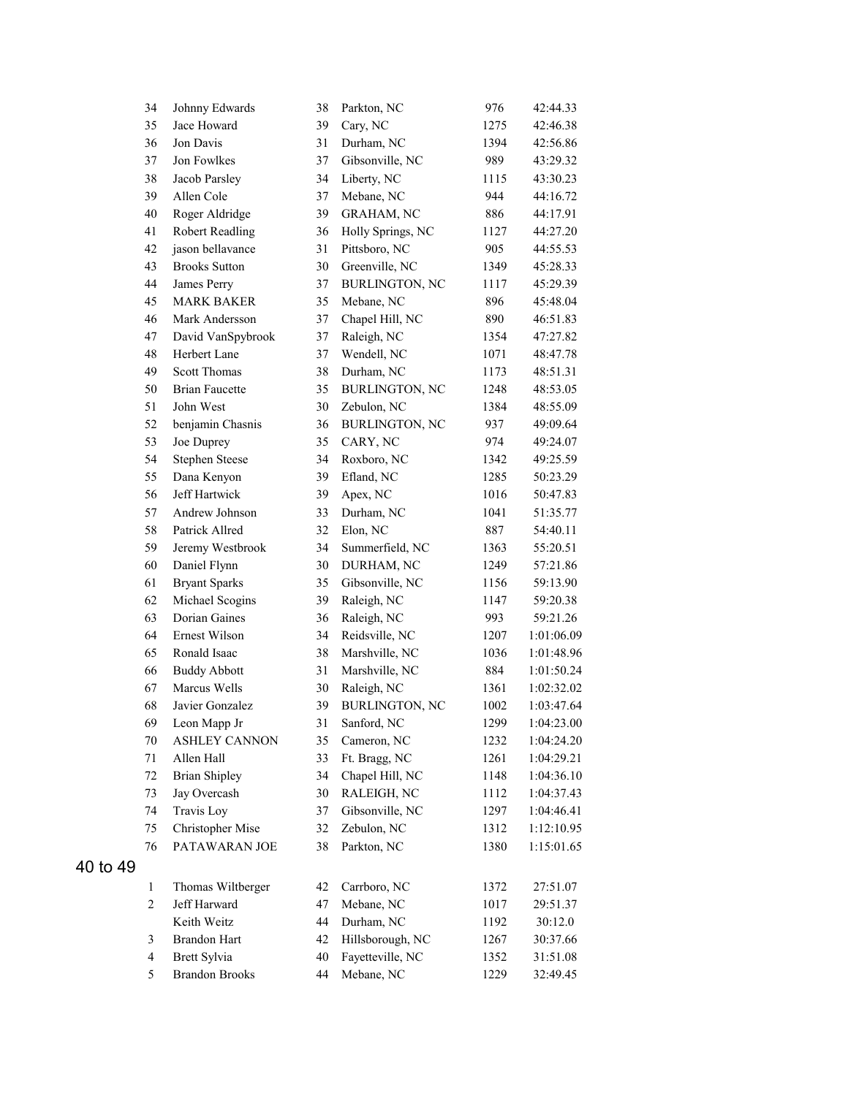|          | 34             | Johnny Edwards        | 38 | Parkton, NC           | 976  | 42:44.33   |
|----------|----------------|-----------------------|----|-----------------------|------|------------|
|          | 35             | Jace Howard           | 39 | Cary, NC              | 1275 | 42:46.38   |
|          | 36             | Jon Davis             | 31 | Durham, NC            | 1394 | 42:56.86   |
|          | 37             | Jon Fowlkes           | 37 | Gibsonville, NC       | 989  | 43:29.32   |
|          | 38             | Jacob Parsley         | 34 | Liberty, NC           | 1115 | 43:30.23   |
|          | 39             | Allen Cole            | 37 | Mebane, NC            | 944  | 44:16.72   |
|          | 40             | Roger Aldridge        | 39 | <b>GRAHAM, NC</b>     | 886  | 44:17.91   |
|          | 41             | Robert Readling       | 36 | Holly Springs, NC     | 1127 | 44:27.20   |
|          | 42             | jason bellavance      | 31 | Pittsboro, NC         | 905  | 44:55.53   |
|          | 43             | <b>Brooks Sutton</b>  | 30 | Greenville, NC        | 1349 | 45:28.33   |
|          | 44             | James Perry           | 37 | <b>BURLINGTON, NC</b> | 1117 | 45:29.39   |
|          | 45             | <b>MARK BAKER</b>     | 35 | Mebane, NC            | 896  | 45:48.04   |
|          | 46             | Mark Andersson        | 37 | Chapel Hill, NC       | 890  | 46:51.83   |
|          | 47             | David VanSpybrook     | 37 | Raleigh, NC           | 1354 | 47:27.82   |
|          | 48             | Herbert Lane          | 37 | Wendell, NC           | 1071 | 48:47.78   |
|          | 49             | Scott Thomas          | 38 | Durham, NC            | 1173 | 48:51.31   |
|          | 50             | <b>Brian Faucette</b> | 35 | <b>BURLINGTON, NC</b> | 1248 | 48:53.05   |
|          | 51             | John West             | 30 | Zebulon, NC           | 1384 | 48:55.09   |
|          | 52             | benjamin Chasnis      | 36 | <b>BURLINGTON, NC</b> | 937  | 49:09.64   |
|          | 53             | Joe Duprey            | 35 | CARY, NC              | 974  | 49:24.07   |
|          | 54             | <b>Stephen Steese</b> | 34 | Roxboro, NC           | 1342 | 49:25.59   |
|          | 55             | Dana Kenyon           | 39 | Efland, NC            | 1285 | 50:23.29   |
|          | 56             | Jeff Hartwick         | 39 | Apex, NC              | 1016 | 50:47.83   |
|          | 57             | Andrew Johnson        | 33 | Durham, NC            | 1041 | 51:35.77   |
|          | 58             | Patrick Allred        | 32 | Elon, NC              | 887  | 54:40.11   |
|          | 59             | Jeremy Westbrook      | 34 | Summerfield, NC       | 1363 | 55:20.51   |
|          | 60             | Daniel Flynn          | 30 | DURHAM, NC            | 1249 | 57:21.86   |
|          | 61             | <b>Bryant Sparks</b>  | 35 | Gibsonville, NC       | 1156 | 59:13.90   |
|          | 62             | Michael Scogins       | 39 | Raleigh, NC           | 1147 | 59:20.38   |
|          | 63             | Dorian Gaines         | 36 | Raleigh, NC           | 993  | 59:21.26   |
|          | 64             | Ernest Wilson         | 34 | Reidsville, NC        | 1207 | 1:01:06.09 |
|          | 65             | Ronald Isaac          | 38 | Marshville, NC        | 1036 | 1:01:48.96 |
|          | 66             | <b>Buddy Abbott</b>   | 31 | Marshville, NC        | 884  | 1:01:50.24 |
|          | 67             | Marcus Wells          | 30 | Raleigh, NC           | 1361 | 1:02:32.02 |
|          | 68             | Javier Gonzalez       | 39 | <b>BURLINGTON, NC</b> | 1002 | 1:03:47.64 |
|          | 69             | Leon Mapp Jr          | 31 | Sanford, NC           | 1299 | 1:04:23.00 |
|          | 70             | <b>ASHLEY CANNON</b>  | 35 | Cameron, NC           | 1232 | 1:04:24.20 |
|          | 71             | Allen Hall            | 33 | Ft. Bragg, NC         | 1261 | 1:04:29.21 |
|          | 72             | <b>Brian Shipley</b>  | 34 | Chapel Hill, NC       | 1148 | 1:04:36.10 |
|          | 73             | Jay Overcash          | 30 | RALEIGH, NC           | 1112 | 1:04:37.43 |
|          | 74             | Travis Loy            | 37 | Gibsonville, NC       | 1297 | 1:04:46.41 |
|          | 75             | Christopher Mise      | 32 | Zebulon, NC           | 1312 | 1:12:10.95 |
|          | 76             | PATAWARAN JOE         | 38 | Parkton, NC           | 1380 | 1:15:01.65 |
| 40 to 49 |                |                       |    |                       |      |            |
|          | $\mathbf{1}$   | Thomas Wiltberger     | 42 | Carrboro, NC          | 1372 | 27:51.07   |
|          | $\overline{c}$ | Jeff Harward          | 47 | Mebane, NC            | 1017 | 29:51.37   |
|          |                | Keith Weitz           | 44 | Durham, NC            | 1192 | 30:12.0    |
|          | 3              | <b>Brandon Hart</b>   | 42 | Hillsborough, NC      | 1267 | 30:37.66   |
|          | $\overline{4}$ | Brett Sylvia          | 40 | Fayetteville, NC      | 1352 | 31:51.08   |
|          | 5              | <b>Brandon Brooks</b> | 44 | Mebane, NC            | 1229 | 32:49.45   |
|          |                |                       |    |                       |      |            |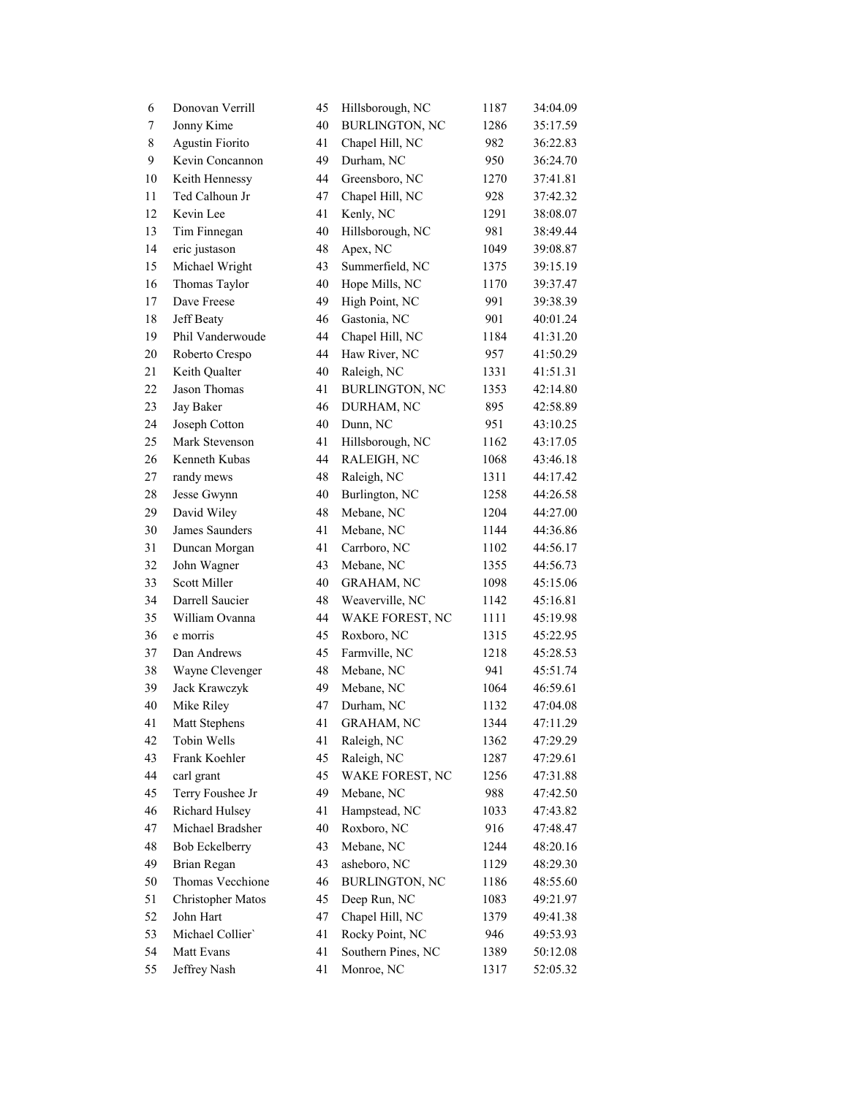| 6         | Donovan Verrill        | 45 | Hillsborough, NC      | 1187 | 34:04.09 |
|-----------|------------------------|----|-----------------------|------|----------|
| 7         | Jonny Kime             | 40 | <b>BURLINGTON, NC</b> | 1286 | 35:17.59 |
| $\,$ $\,$ | <b>Agustin Fiorito</b> | 41 | Chapel Hill, NC       | 982  | 36:22.83 |
| 9         | Kevin Concannon        | 49 | Durham, NC            | 950  | 36:24.70 |
| 10        | Keith Hennessy         | 44 | Greensboro, NC        | 1270 | 37:41.81 |
| 11        | Ted Calhoun Jr         | 47 | Chapel Hill, NC       | 928  | 37:42.32 |
| 12        | Kevin Lee              | 41 | Kenly, NC             | 1291 | 38:08.07 |
| 13        | Tim Finnegan           | 40 | Hillsborough, NC      | 981  | 38:49.44 |
| 14        | eric justason          | 48 | Apex, NC              | 1049 | 39:08.87 |
| 15        | Michael Wright         | 43 | Summerfield, NC       | 1375 | 39:15.19 |
| 16        | Thomas Taylor          | 40 | Hope Mills, NC        | 1170 | 39:37.47 |
| 17        | Dave Freese            | 49 | High Point, NC        | 991  | 39:38.39 |
| 18        | Jeff Beaty             | 46 | Gastonia, NC          | 901  | 40:01.24 |
| 19        | Phil Vanderwoude       | 44 | Chapel Hill, NC       | 1184 | 41:31.20 |
| 20        | Roberto Crespo         | 44 | Haw River, NC         | 957  | 41:50.29 |
| 21        | Keith Qualter          | 40 | Raleigh, NC           | 1331 | 41:51.31 |
| 22        | Jason Thomas           | 41 | <b>BURLINGTON, NC</b> | 1353 | 42:14.80 |
| 23        | Jay Baker              | 46 | DURHAM, NC            | 895  | 42:58.89 |
| 24        | Joseph Cotton          | 40 | Dunn, NC              | 951  | 43:10.25 |
| 25        | Mark Stevenson         | 41 | Hillsborough, NC      | 1162 | 43:17.05 |
| 26        | Kenneth Kubas          | 44 | RALEIGH, NC           | 1068 | 43:46.18 |
| 27        | randy mews             | 48 | Raleigh, NC           | 1311 | 44:17.42 |
| 28        | Jesse Gwynn            | 40 | Burlington, NC        | 1258 | 44:26.58 |
| 29        | David Wiley            | 48 | Mebane, NC            | 1204 | 44:27.00 |
| 30        | James Saunders         | 41 | Mebane, NC            | 1144 | 44:36.86 |
| 31        | Duncan Morgan          | 41 | Carrboro, NC          | 1102 | 44:56.17 |
| 32        | John Wagner            | 43 | Mebane, NC            | 1355 | 44:56.73 |
| 33        | Scott Miller           | 40 | GRAHAM, NC            | 1098 | 45:15.06 |
| 34        | Darrell Saucier        | 48 | Weaverville, NC       | 1142 | 45:16.81 |
| 35        | William Ovanna         | 44 | WAKE FOREST, NC       | 1111 | 45:19.98 |
| 36        | e morris               | 45 | Roxboro, NC           | 1315 | 45:22.95 |
| 37        | Dan Andrews            | 45 | Farmville, NC         | 1218 | 45:28.53 |
| 38        | Wayne Clevenger        | 48 | Mebane, NC            | 941  | 45:51.74 |
| 39        | Jack Krawczyk          | 49 | Mebane, NC            | 1064 | 46:59.61 |
| 40        | Mike Riley             | 47 | Durham, NC            | 1132 | 47:04.08 |
| 41        | Matt Stephens          | 41 | <b>GRAHAM, NC</b>     | 1344 | 47:11.29 |
| 42        | Tobin Wells            | 41 | Raleigh, NC           | 1362 | 47:29.29 |
| 43        | Frank Koehler          | 45 | Raleigh, NC           | 1287 | 47:29.61 |
| 44        | carl grant             | 45 | WAKE FOREST, NC       | 1256 | 47:31.88 |
| 45        | Terry Foushee Jr       | 49 | Mebane, NC            | 988  | 47:42.50 |
| 46        | Richard Hulsey         | 41 | Hampstead, NC         | 1033 | 47:43.82 |
| 47        | Michael Bradsher       | 40 | Roxboro, NC           | 916  | 47:48.47 |
| 48        | Bob Eckelberry         | 43 | Mebane, NC            | 1244 | 48:20.16 |
| 49        | Brian Regan            | 43 | asheboro, NC          | 1129 | 48:29.30 |
| 50        | Thomas Vecchione       | 46 | <b>BURLINGTON, NC</b> | 1186 | 48:55.60 |
| 51        | Christopher Matos      | 45 | Deep Run, NC          | 1083 | 49:21.97 |
| 52        | John Hart              | 47 | Chapel Hill, NC       | 1379 | 49:41.38 |
| 53        | Michael Collier'       | 41 | Rocky Point, NC       | 946  | 49:53.93 |
| 54        | Matt Evans             | 41 | Southern Pines, NC    | 1389 | 50:12.08 |
| 55        | Jeffrey Nash           | 41 | Monroe, NC            | 1317 | 52:05.32 |